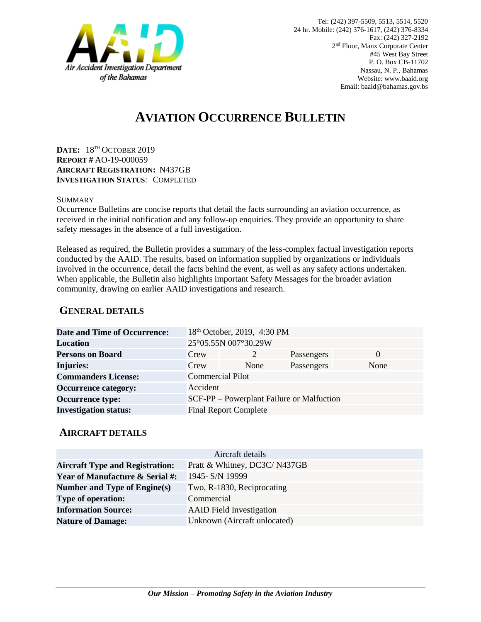

# **AVIATION OCCURRENCE BULLETIN**

**DATE:** 18TH OCTOBER 2019 **REPORT #** AO-19-000059 **AIRCRAFT REGISTRATION:** N437GB **INVESTIGATION STATUS**: COMPLETED

#### **SUMMARY**

Occurrence Bulletins are concise reports that detail the facts surrounding an aviation occurrence, as received in the initial notification and any follow-up enquiries. They provide an opportunity to share safety messages in the absence of a full investigation*.*

Released as required, the Bulletin provides a summary of the less-complex factual investigation reports conducted by the AAID. The results, based on information supplied by organizations or individuals involved in the occurrence, detail the facts behind the event, as well as any safety actions undertaken. When applicable, the Bulletin also highlights important Safety Messages for the broader aviation community, drawing on earlier AAID investigations and research.

### **GENERAL DETAILS**

| 25°05.55N 007°30.29W<br>Location                                     |  |
|----------------------------------------------------------------------|--|
| <b>Persons on Board</b><br>Crew<br>Passengers<br>$\theta$            |  |
| <b>Injuries:</b><br>Passengers<br>None<br>Crew<br>None               |  |
| <b>Commercial Pilot</b><br><b>Commanders License:</b>                |  |
| <b>Occurrence category:</b><br>Accident                              |  |
| <b>Occurrence type:</b><br>SCF-PP – Powerplant Failure or Malfuction |  |
| <b>Investigation status:</b><br><b>Final Report Complete</b>         |  |

#### **AIRCRAFT DETAILS**

| Aircraft details                           |                                 |  |
|--------------------------------------------|---------------------------------|--|
| <b>Aircraft Type and Registration:</b>     | Pratt & Whitney, DC3C/N437GB    |  |
| <b>Year of Manufacture &amp; Serial #:</b> | 1945- S/N 19999                 |  |
| Number and Type of Engine(s)               | Two, R-1830, Reciprocating      |  |
| <b>Type of operation:</b>                  | Commercial                      |  |
| <b>Information Source:</b>                 | <b>AAID</b> Field Investigation |  |
| <b>Nature of Damage:</b>                   | Unknown (Aircraft unlocated)    |  |